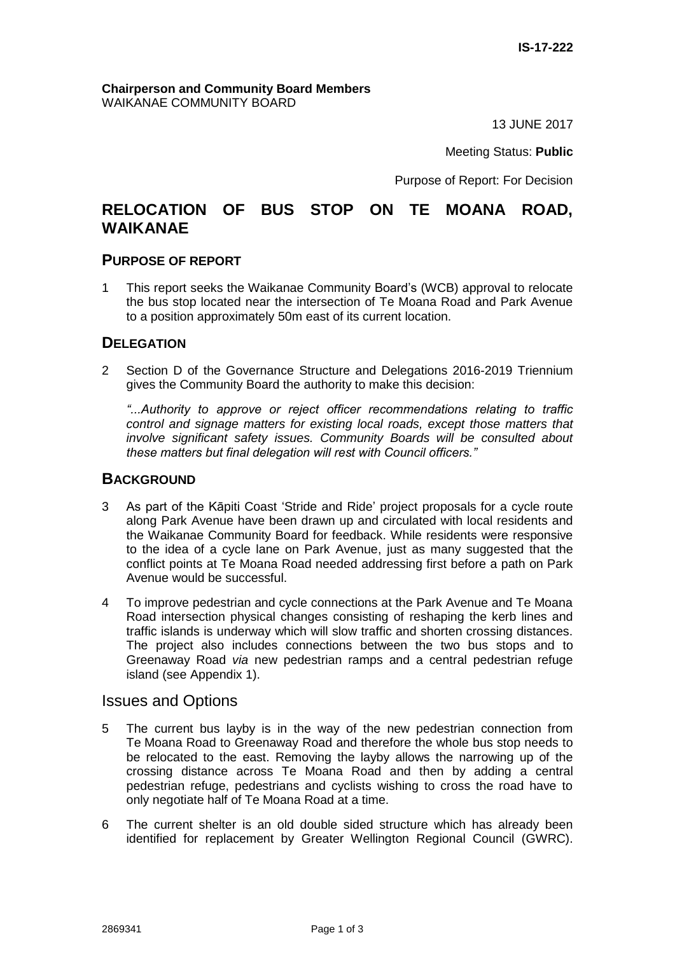#### **Chairperson and Community Board Members** WAIKANAE COMMUNITY BOARD

13 JUNE 2017

Meeting Status: **Public**

Purpose of Report: For Decision

# **RELOCATION OF BUS STOP ON TE MOANA ROAD, WAIKANAE**

## **PURPOSE OF REPORT**

1 This report seeks the Waikanae Community Board's (WCB) approval to relocate the bus stop located near the intersection of Te Moana Road and Park Avenue to a position approximately 50m east of its current location.

## **DELEGATION**

2 Section D of the Governance Structure and Delegations 2016-2019 Triennium gives the Community Board the authority to make this decision:

*"...Authority to approve or reject officer recommendations relating to traffic control and signage matters for existing local roads, except those matters that involve significant safety issues. Community Boards will be consulted about these matters but final delegation will rest with Council officers."*

## **BACKGROUND**

- 3 As part of the Kāpiti Coast 'Stride and Ride' project proposals for a cycle route along Park Avenue have been drawn up and circulated with local residents and the Waikanae Community Board for feedback. While residents were responsive to the idea of a cycle lane on Park Avenue, just as many suggested that the conflict points at Te Moana Road needed addressing first before a path on Park Avenue would be successful.
- 4 To improve pedestrian and cycle connections at the Park Avenue and Te Moana Road intersection physical changes consisting of reshaping the kerb lines and traffic islands is underway which will slow traffic and shorten crossing distances. The project also includes connections between the two bus stops and to Greenaway Road *via* new pedestrian ramps and a central pedestrian refuge island (see Appendix 1).

## Issues and Options

- 5 The current bus layby is in the way of the new pedestrian connection from Te Moana Road to Greenaway Road and therefore the whole bus stop needs to be relocated to the east. Removing the layby allows the narrowing up of the crossing distance across Te Moana Road and then by adding a central pedestrian refuge, pedestrians and cyclists wishing to cross the road have to only negotiate half of Te Moana Road at a time.
- 6 The current shelter is an old double sided structure which has already been identified for replacement by Greater Wellington Regional Council (GWRC).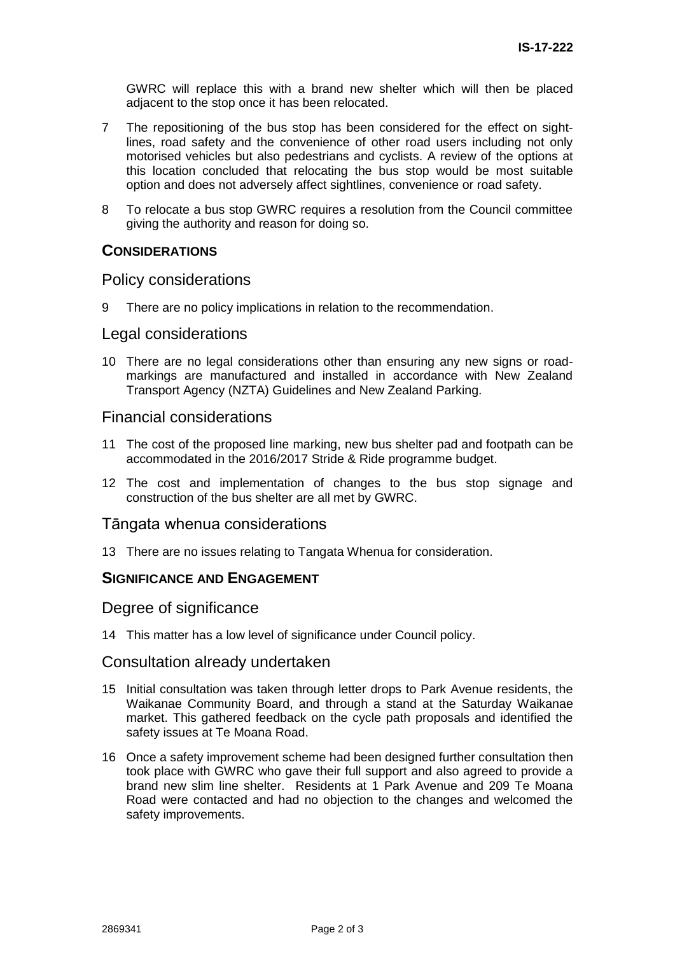GWRC will replace this with a brand new shelter which will then be placed adjacent to the stop once it has been relocated.

- 7 The repositioning of the bus stop has been considered for the effect on sightlines, road safety and the convenience of other road users including not only motorised vehicles but also pedestrians and cyclists. A review of the options at this location concluded that relocating the bus stop would be most suitable option and does not adversely affect sightlines, convenience or road safety.
- 8 To relocate a bus stop GWRC requires a resolution from the Council committee giving the authority and reason for doing so.

## **CONSIDERATIONS**

### Policy considerations

9 There are no policy implications in relation to the recommendation.

### Legal considerations

10 There are no legal considerations other than ensuring any new signs or roadmarkings are manufactured and installed in accordance with New Zealand Transport Agency (NZTA) Guidelines and New Zealand Parking.

## Financial considerations

- 11 The cost of the proposed line marking, new bus shelter pad and footpath can be accommodated in the 2016/2017 Stride & Ride programme budget.
- 12 The cost and implementation of changes to the bus stop signage and construction of the bus shelter are all met by GWRC.

### Tāngata whenua considerations

13 There are no issues relating to Tangata Whenua for consideration.

### **SIGNIFICANCE AND ENGAGEMENT**

### Degree of significance

14 This matter has a low level of significance under Council policy.

### Consultation already undertaken

- 15 Initial consultation was taken through letter drops to Park Avenue residents, the Waikanae Community Board, and through a stand at the Saturday Waikanae market. This gathered feedback on the cycle path proposals and identified the safety issues at Te Moana Road.
- 16 Once a safety improvement scheme had been designed further consultation then took place with GWRC who gave their full support and also agreed to provide a brand new slim line shelter. Residents at 1 Park Avenue and 209 Te Moana Road were contacted and had no objection to the changes and welcomed the safety improvements.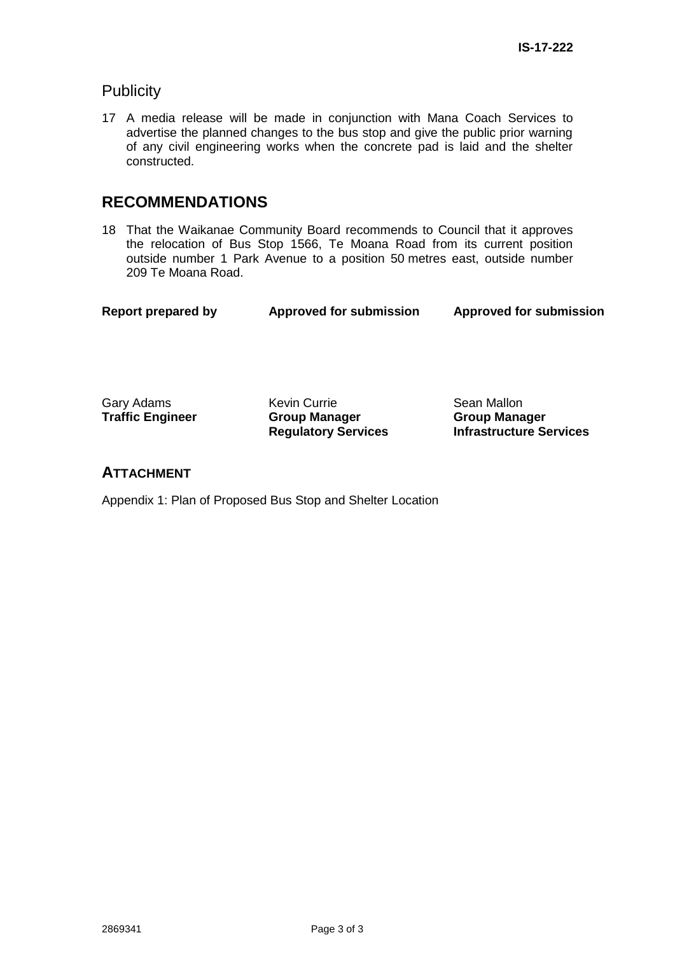## **Publicity**

17 A media release will be made in conjunction with Mana Coach Services to advertise the planned changes to the bus stop and give the public prior warning of any civil engineering works when the concrete pad is laid and the shelter constructed.

# **RECOMMENDATIONS**

18 That the Waikanae Community Board recommends to Council that it approves the relocation of Bus Stop 1566, Te Moana Road from its current position outside number 1 Park Avenue to a position 50 metres east, outside number 209 Te Moana Road.

| <b>Report prepared by</b> | <b>Approved for submission</b> | <b>Approved for submission</b> |
|---------------------------|--------------------------------|--------------------------------|
|                           |                                |                                |

**Traffic Engineer** 

Gary Adams **Kevin Currie** Sean Mallon<br> **Traffic Engineer Group Manager Croup Manager Regulatory Services**

**Group Manager Infrastructure Services**

## **ATTACHMENT**

Appendix 1: Plan of Proposed Bus Stop and Shelter Location